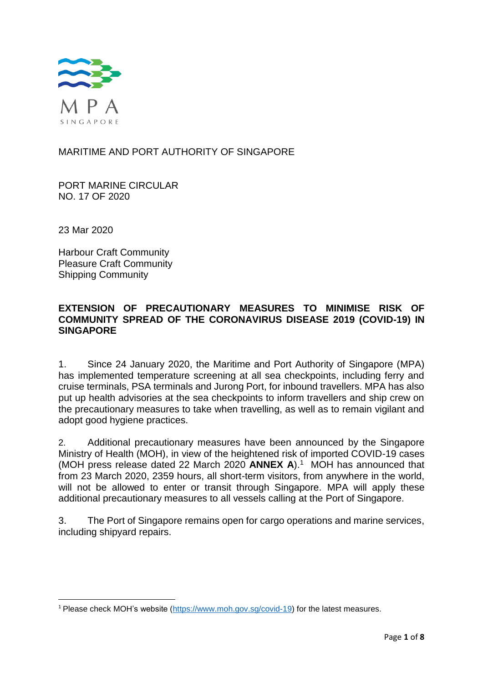

# MARITIME AND PORT AUTHORITY OF SINGAPORE

PORT MARINE CIRCULAR NO. 17 OF 2020

23 Mar 2020

**.** 

Harbour Craft Community Pleasure Craft Community Shipping Community

# **EXTENSION OF PRECAUTIONARY MEASURES TO MINIMISE RISK OF COMMUNITY SPREAD OF THE CORONAVIRUS DISEASE 2019 (COVID-19) IN SINGAPORE**

1. Since 24 January 2020, the Maritime and Port Authority of Singapore (MPA) has implemented temperature screening at all sea checkpoints, including ferry and cruise terminals, PSA terminals and Jurong Port, for inbound travellers. MPA has also put up health advisories at the sea checkpoints to inform travellers and ship crew on the precautionary measures to take when travelling, as well as to remain vigilant and adopt good hygiene practices.

2. Additional precautionary measures have been announced by the Singapore Ministry of Health (MOH), in view of the heightened risk of imported COVID-19 cases (MOH press release dated 22 March 2020 **ANNEX A**).<sup>1</sup> MOH has announced that from 23 March 2020, 2359 hours, all short-term visitors, from anywhere in the world, will not be allowed to enter or transit through Singapore. MPA will apply these additional precautionary measures to all vessels calling at the Port of Singapore.

3. The Port of Singapore remains open for cargo operations and marine services, including shipyard repairs.

<sup>&</sup>lt;sup>1</sup> Please check MOH's website [\(https://www.moh.gov.sg/covid-19\)](https://www.moh.gov.sg/covid-19) for the latest measures.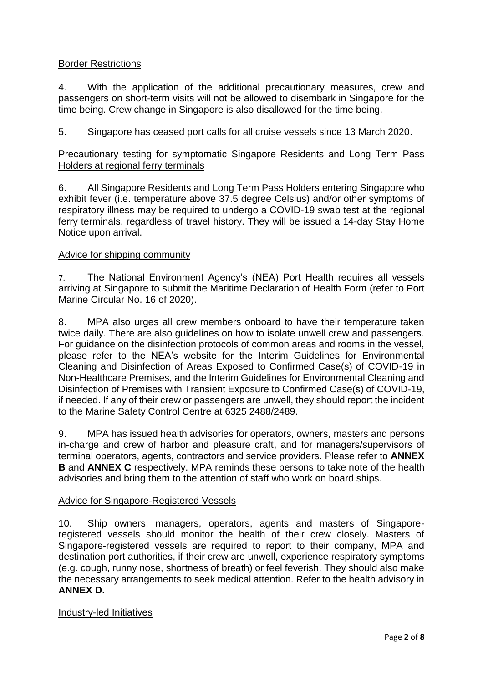# Border Restrictions

4. With the application of the additional precautionary measures, crew and passengers on short-term visits will not be allowed to disembark in Singapore for the time being. Crew change in Singapore is also disallowed for the time being.

5. Singapore has ceased port calls for all cruise vessels since 13 March 2020.

# Precautionary testing for symptomatic Singapore Residents and Long Term Pass Holders at regional ferry terminals

6. All Singapore Residents and Long Term Pass Holders entering Singapore who exhibit fever (i.e. temperature above 37.5 degree Celsius) and/or other symptoms of respiratory illness may be required to undergo a COVID-19 swab test at the regional ferry terminals, regardless of travel history. They will be issued a 14-day Stay Home Notice upon arrival.

# Advice for shipping community

7. The National Environment Agency's (NEA) Port Health requires all vessels arriving at Singapore to submit the Maritime Declaration of Health Form (refer to Port Marine Circular No. 16 of 2020).

8. MPA also urges all crew members onboard to have their temperature taken twice daily. There are also guidelines on how to isolate unwell crew and passengers. For guidance on the disinfection protocols of common areas and rooms in the vessel, please refer to the NEA's website for the Interim Guidelines for Environmental Cleaning and Disinfection of Areas Exposed to Confirmed Case(s) of COVID-19 in Non-Healthcare Premises, and the Interim Guidelines for Environmental Cleaning and Disinfection of Premises with Transient Exposure to Confirmed Case(s) of COVID-19, if needed. If any of their crew or passengers are unwell, they should report the incident to the Marine Safety Control Centre at 6325 2488/2489.

9. MPA has issued health advisories for operators, owners, masters and persons in-charge and crew of harbor and pleasure craft, and for managers/supervisors of terminal operators, agents, contractors and service providers. Please refer to **ANNEX B** and **ANNEX C** respectively. MPA reminds these persons to take note of the health advisories and bring them to the attention of staff who work on board ships.

# Advice for Singapore-Registered Vessels

10. Ship owners, managers, operators, agents and masters of Singaporeregistered vessels should monitor the health of their crew closely. Masters of Singapore-registered vessels are required to report to their company, MPA and destination port authorities, if their crew are unwell, experience respiratory symptoms (e.g. cough, runny nose, shortness of breath) or feel feverish. They should also make the necessary arrangements to seek medical attention. Refer to the health advisory in **ANNEX D.**

# Industry-led Initiatives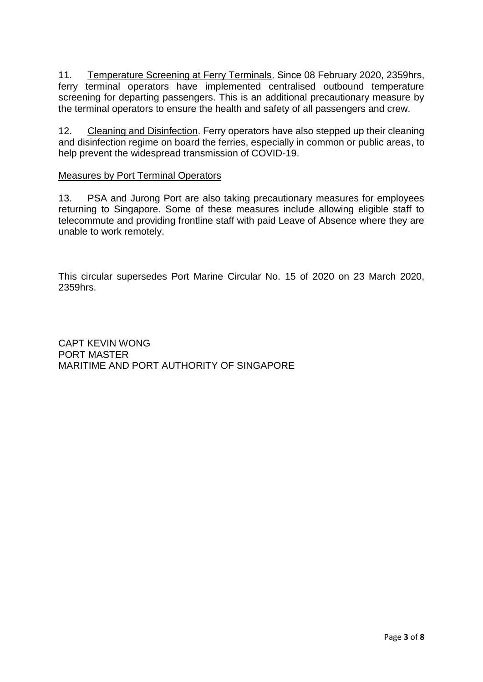11. Temperature Screening at Ferry Terminals. Since 08 February 2020, 2359hrs, ferry terminal operators have implemented centralised outbound temperature screening for departing passengers. This is an additional precautionary measure by the terminal operators to ensure the health and safety of all passengers and crew.

12. Cleaning and Disinfection. Ferry operators have also stepped up their cleaning and disinfection regime on board the ferries, especially in common or public areas, to help prevent the widespread transmission of COVID-19.

### Measures by Port Terminal Operators

13. PSA and Jurong Port are also taking precautionary measures for employees returning to Singapore. Some of these measures include allowing eligible staff to telecommute and providing frontline staff with paid Leave of Absence where they are unable to work remotely.

This circular supersedes Port Marine Circular No. 15 of 2020 on 23 March 2020, 2359hrs.

CAPT KEVIN WONG PORT MASTER MARITIME AND PORT AUTHORITY OF SINGAPORE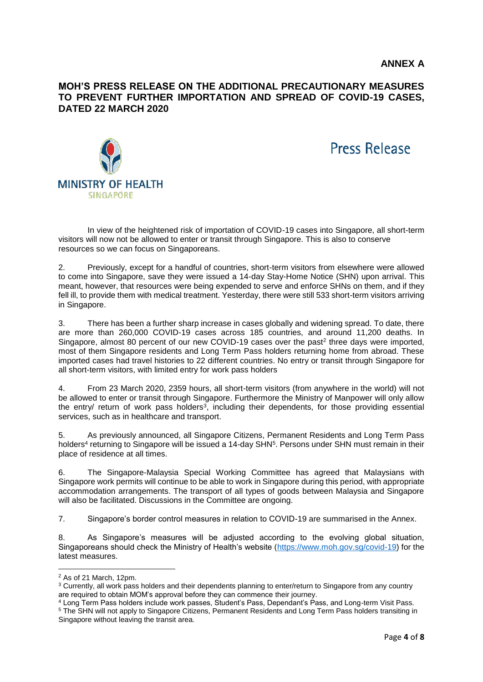### **MOH'S PRESS RELEASE ON THE ADDITIONAL PRECAUTIONARY MEASURES TO PREVENT FURTHER IMPORTATION AND SPREAD OF COVID-19 CASES, DATED 22 MARCH 2020**



Press Release

In view of the heightened risk of importation of COVID-19 cases into Singapore, all short-term visitors will now not be allowed to enter or transit through Singapore. This is also to conserve resources so we can focus on Singaporeans.

2. Previously, except for a handful of countries, short-term visitors from elsewhere were allowed to come into Singapore, save they were issued a 14-day Stay-Home Notice (SHN) upon arrival. This meant, however, that resources were being expended to serve and enforce SHNs on them, and if they fell ill, to provide them with medical treatment. Yesterday, there were still 533 short-term visitors arriving in Singapore.

3. There has been a further sharp increase in cases globally and widening spread. To date, there are more than 260,000 COVID-19 cases across 185 countries, and around 11,200 deaths. In Singapore, almost 80 percent of our new COVID-19 cases over the past<sup>2</sup> three days were imported, most of them Singapore residents and Long Term Pass holders returning home from abroad. These imported cases had travel histories to 22 different countries. No entry or transit through Singapore for all short-term visitors, with limited entry for work pass holders

4. From 23 March 2020, 2359 hours, all short-term visitors (from anywhere in the world) will not be allowed to enter or transit through Singapore. Furthermore the Ministry of Manpower will only allow the entry/ return of work pass holders<sup>3</sup>, including their dependents, for those providing essential services, such as in healthcare and transport.

5. As previously announced, all Singapore Citizens, Permanent Residents and Long Term Pass holders<sup>4</sup> returning to Singapore will be issued a 14-day SHN<sup>5</sup>. Persons under SHN must remain in their place of residence at all times.

6. The Singapore-Malaysia Special Working Committee has agreed that Malaysians with Singapore work permits will continue to be able to work in Singapore during this period, with appropriate accommodation arrangements. The transport of all types of goods between Malaysia and Singapore will also be facilitated. Discussions in the Committee are ongoing.

7. Singapore's border control measures in relation to COVID-19 are summarised in the Annex.

8. As Singapore's measures will be adjusted according to the evolving global situation, Singaporeans should check the Ministry of Health's website [\(https://www.moh.gov.sg/covid-19\)](https://www.moh.gov.sg/covid-19) for the latest measures.

 $\overline{a}$ 

 $2$  As of 21 March, 12pm.

<sup>3</sup> Currently, all work pass holders and their dependents planning to enter/return to Singapore from any country are required to obtain MOM's approval before they can commence their journey.

<sup>4</sup> Long Term Pass holders include work passes, Student's Pass, Dependant's Pass, and Long-term Visit Pass. <sup>5</sup> The SHN will not apply to Singapore Citizens, Permanent Residents and Long Term Pass holders transiting in Singapore without leaving the transit area.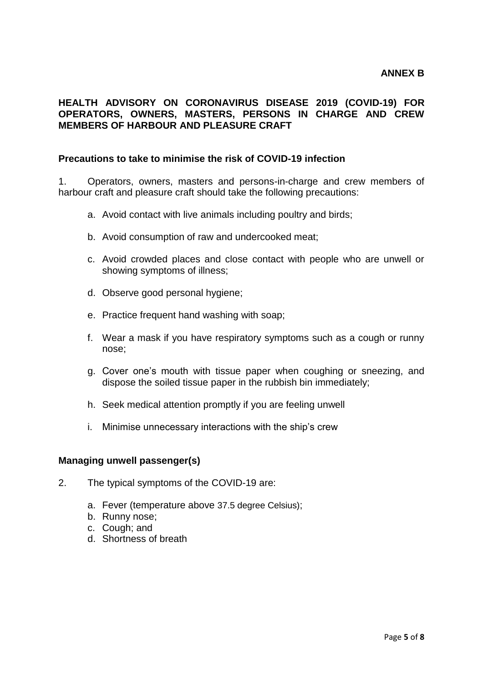# **HEALTH ADVISORY ON CORONAVIRUS DISEASE 2019 (COVID-19) FOR OPERATORS, OWNERS, MASTERS, PERSONS IN CHARGE AND CREW MEMBERS OF HARBOUR AND PLEASURE CRAFT**

### **Precautions to take to minimise the risk of COVID-19 infection**

1. Operators, owners, masters and persons-in-charge and crew members of harbour craft and pleasure craft should take the following precautions:

- a. Avoid contact with live animals including poultry and birds;
- b. Avoid consumption of raw and undercooked meat;
- c. Avoid crowded places and close contact with people who are unwell or showing symptoms of illness;
- d. Observe good personal hygiene;
- e. Practice frequent hand washing with soap;
- f. Wear a mask if you have respiratory symptoms such as a cough or runny nose;
- g. Cover one's mouth with tissue paper when coughing or sneezing, and dispose the soiled tissue paper in the rubbish bin immediately;
- h. Seek medical attention promptly if you are feeling unwell
- i. Minimise unnecessary interactions with the ship's crew

#### **Managing unwell passenger(s)**

- 2. The typical symptoms of the COVID-19 are:
	- a. Fever (temperature above 37.5 degree Celsius);
	- b. Runny nose;
	- c. Cough; and
	- d. Shortness of breath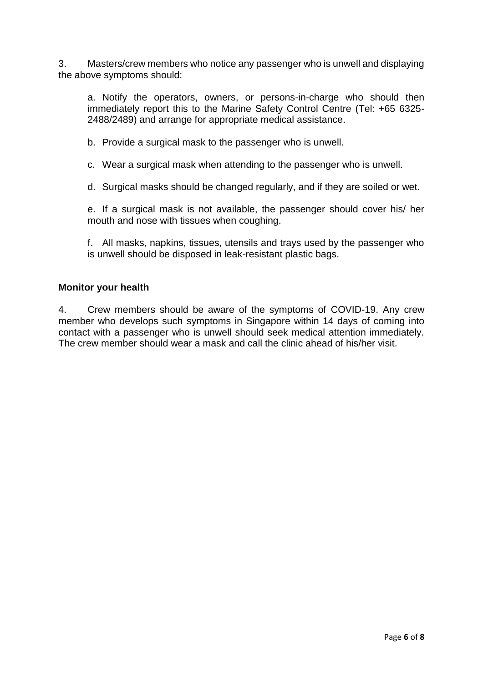3. Masters/crew members who notice any passenger who is unwell and displaying the above symptoms should:

a. Notify the operators, owners, or persons-in-charge who should then immediately report this to the Marine Safety Control Centre (Tel: +65 6325- 2488/2489) and arrange for appropriate medical assistance.

b. Provide a surgical mask to the passenger who is unwell.

c. Wear a surgical mask when attending to the passenger who is unwell.

d. Surgical masks should be changed regularly, and if they are soiled or wet.

e. If a surgical mask is not available, the passenger should cover his/ her mouth and nose with tissues when coughing.

f. All masks, napkins, tissues, utensils and trays used by the passenger who is unwell should be disposed in leak-resistant plastic bags.

#### **Monitor your health**

4. Crew members should be aware of the symptoms of COVID-19. Any crew member who develops such symptoms in Singapore within 14 days of coming into contact with a passenger who is unwell should seek medical attention immediately. The crew member should wear a mask and call the clinic ahead of his/her visit.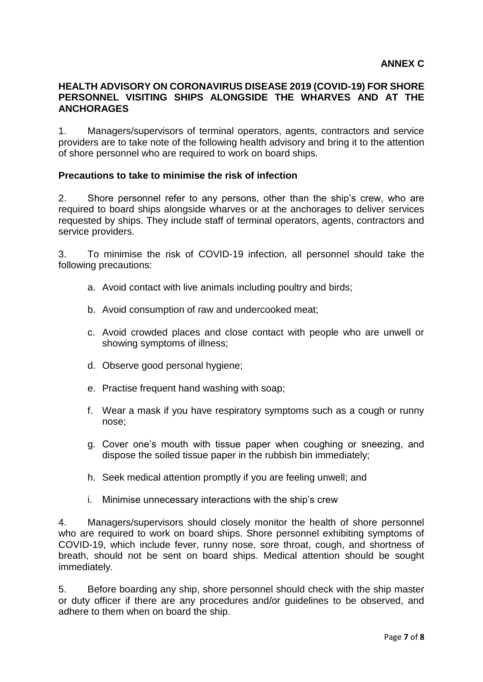### **HEALTH ADVISORY ON CORONAVIRUS DISEASE 2019 (COVID-19) FOR SHORE PERSONNEL VISITING SHIPS ALONGSIDE THE WHARVES AND AT THE ANCHORAGES**

1. Managers/supervisors of terminal operators, agents, contractors and service providers are to take note of the following health advisory and bring it to the attention of shore personnel who are required to work on board ships.

### **Precautions to take to minimise the risk of infection**

2. Shore personnel refer to any persons, other than the ship's crew, who are required to board ships alongside wharves or at the anchorages to deliver services requested by ships. They include staff of terminal operators, agents, contractors and service providers.

3. To minimise the risk of COVID-19 infection, all personnel should take the following precautions:

- a. Avoid contact with live animals including poultry and birds;
- b. Avoid consumption of raw and undercooked meat;
- c. Avoid crowded places and close contact with people who are unwell or showing symptoms of illness;
- d. Observe good personal hygiene;
- e. Practise frequent hand washing with soap;
- f. Wear a mask if you have respiratory symptoms such as a cough or runny nose;
- g. Cover one's mouth with tissue paper when coughing or sneezing, and dispose the soiled tissue paper in the rubbish bin immediately;
- h. Seek medical attention promptly if you are feeling unwell; and
- i. Minimise unnecessary interactions with the ship's crew

4. Managers/supervisors should closely monitor the health of shore personnel who are required to work on board ships. Shore personnel exhibiting symptoms of COVID-19, which include fever, runny nose, sore throat, cough, and shortness of breath, should not be sent on board ships. Medical attention should be sought immediately.

5. Before boarding any ship, shore personnel should check with the ship master or duty officer if there are any procedures and/or guidelines to be observed, and adhere to them when on board the ship.